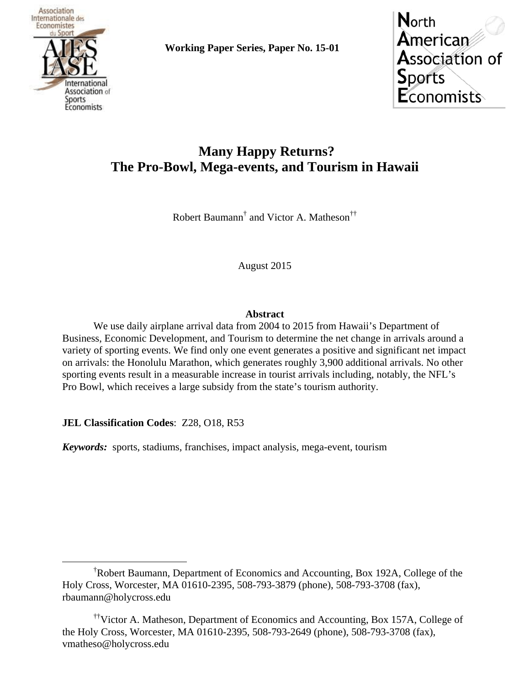

**Working Paper Series, Paper No. 15-01**

**North** American **Association of Sports Economists** 

# **Many Happy Returns? The Pro-Bowl, Mega-events, and Tourism in Hawaii**

Robert Baumann<sup>†</sup> and Victor A. Matheson<sup>††</sup>

August 2015

### **Abstract**

 We use daily airplane arrival data from 2004 to 2015 from Hawaii's Department of Business, Economic Development, and Tourism to determine the net change in arrivals around a variety of sporting events. We find only one event generates a positive and significant net impact on arrivals: the Honolulu Marathon, which generates roughly 3,900 additional arrivals. No other sporting events result in a measurable increase in tourist arrivals including, notably, the NFL's Pro Bowl, which receives a large subsidy from the state's tourism authority.

**JEL Classification Codes**: Z28, O18, R53

*Keywords:* sports, stadiums, franchises, impact analysis, mega-event, tourism

 $\overline{\phantom{a}}$ <sup>†</sup>Robert Baumann, Department of Economics and Accounting, Box 192A, College of the Holy Cross, Worcester, MA 01610-2395, 508-793-3879 (phone), 508-793-3708 (fax), rbaumann@holycross.edu

<sup>††</sup>Victor A. Matheson, Department of Economics and Accounting, Box 157A, College of the Holy Cross, Worcester, MA 01610-2395, 508-793-2649 (phone), 508-793-3708 (fax), vmatheso@holycross.edu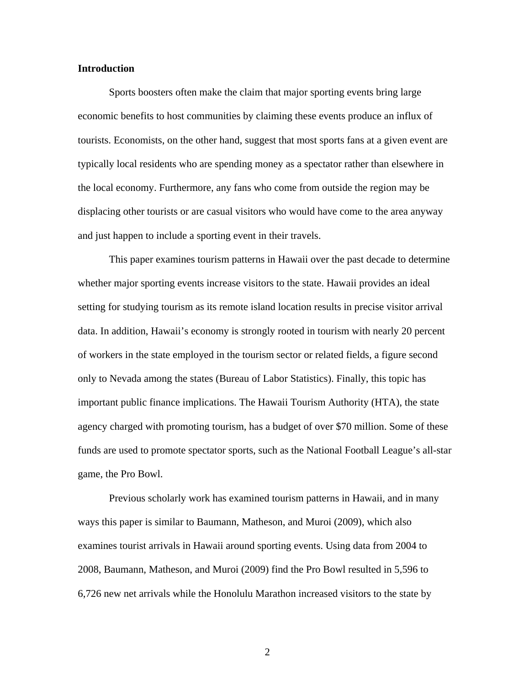#### **Introduction**

Sports boosters often make the claim that major sporting events bring large economic benefits to host communities by claiming these events produce an influx of tourists. Economists, on the other hand, suggest that most sports fans at a given event are typically local residents who are spending money as a spectator rather than elsewhere in the local economy. Furthermore, any fans who come from outside the region may be displacing other tourists or are casual visitors who would have come to the area anyway and just happen to include a sporting event in their travels.

This paper examines tourism patterns in Hawaii over the past decade to determine whether major sporting events increase visitors to the state. Hawaii provides an ideal setting for studying tourism as its remote island location results in precise visitor arrival data. In addition, Hawaii's economy is strongly rooted in tourism with nearly 20 percent of workers in the state employed in the tourism sector or related fields, a figure second only to Nevada among the states (Bureau of Labor Statistics). Finally, this topic has important public finance implications. The Hawaii Tourism Authority (HTA), the state agency charged with promoting tourism, has a budget of over \$70 million. Some of these funds are used to promote spectator sports, such as the National Football League's all-star game, the Pro Bowl.

Previous scholarly work has examined tourism patterns in Hawaii, and in many ways this paper is similar to Baumann, Matheson, and Muroi (2009), which also examines tourist arrivals in Hawaii around sporting events. Using data from 2004 to 2008, Baumann, Matheson, and Muroi (2009) find the Pro Bowl resulted in 5,596 to 6,726 new net arrivals while the Honolulu Marathon increased visitors to the state by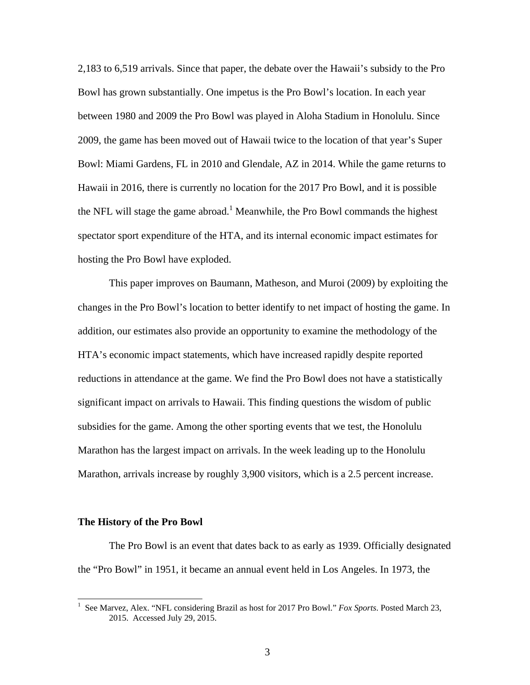2,183 to 6,519 arrivals. Since that paper, the debate over the Hawaii's subsidy to the Pro Bowl has grown substantially. One impetus is the Pro Bowl's location. In each year between 1980 and 2009 the Pro Bowl was played in Aloha Stadium in Honolulu. Since 2009, the game has been moved out of Hawaii twice to the location of that year's Super Bowl: Miami Gardens, FL in 2010 and Glendale, AZ in 2014. While the game returns to Hawaii in 2016, there is currently no location for the 2017 Pro Bowl, and it is possible the NFL will stage the game abroad.<sup>1</sup> Meanwhile, the Pro Bowl commands the highest spectator sport expenditure of the HTA, and its internal economic impact estimates for hosting the Pro Bowl have exploded.

This paper improves on Baumann, Matheson, and Muroi (2009) by exploiting the changes in the Pro Bowl's location to better identify to net impact of hosting the game. In addition, our estimates also provide an opportunity to examine the methodology of the HTA's economic impact statements, which have increased rapidly despite reported reductions in attendance at the game. We find the Pro Bowl does not have a statistically significant impact on arrivals to Hawaii. This finding questions the wisdom of public subsidies for the game. Among the other sporting events that we test, the Honolulu Marathon has the largest impact on arrivals. In the week leading up to the Honolulu Marathon, arrivals increase by roughly 3,900 visitors, which is a 2.5 percent increase.

#### **The History of the Pro Bowl**

The Pro Bowl is an event that dates back to as early as 1939. Officially designated the "Pro Bowl" in 1951, it became an annual event held in Los Angeles. In 1973, the

 1 See Marvez, Alex. "NFL considering Brazil as host for 2017 Pro Bowl." *Fox Sports*. Posted March 23, 2015. Accessed July 29, 2015.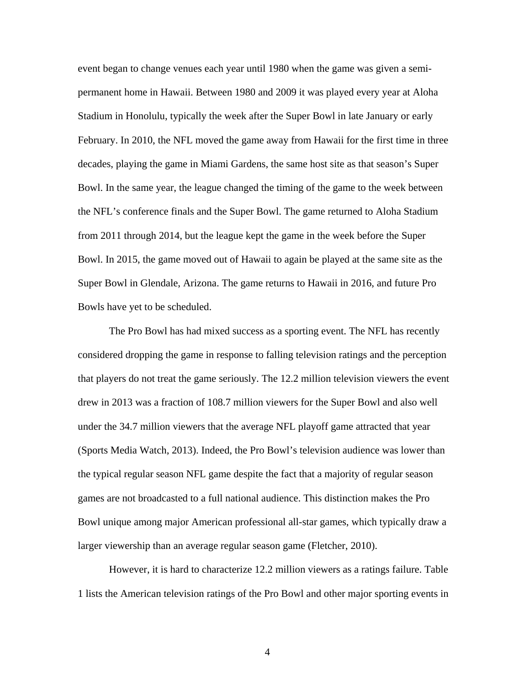event began to change venues each year until 1980 when the game was given a semipermanent home in Hawaii. Between 1980 and 2009 it was played every year at Aloha Stadium in Honolulu, typically the week after the Super Bowl in late January or early February. In 2010, the NFL moved the game away from Hawaii for the first time in three decades, playing the game in Miami Gardens, the same host site as that season's Super Bowl. In the same year, the league changed the timing of the game to the week between the NFL's conference finals and the Super Bowl. The game returned to Aloha Stadium from 2011 through 2014, but the league kept the game in the week before the Super Bowl. In 2015, the game moved out of Hawaii to again be played at the same site as the Super Bowl in Glendale, Arizona. The game returns to Hawaii in 2016, and future Pro Bowls have yet to be scheduled.

 The Pro Bowl has had mixed success as a sporting event. The NFL has recently considered dropping the game in response to falling television ratings and the perception that players do not treat the game seriously. The 12.2 million television viewers the event drew in 2013 was a fraction of 108.7 million viewers for the Super Bowl and also well under the 34.7 million viewers that the average NFL playoff game attracted that year (Sports Media Watch, 2013). Indeed, the Pro Bowl's television audience was lower than the typical regular season NFL game despite the fact that a majority of regular season games are not broadcasted to a full national audience. This distinction makes the Pro Bowl unique among major American professional all-star games, which typically draw a larger viewership than an average regular season game (Fletcher, 2010).

 However, it is hard to characterize 12.2 million viewers as a ratings failure. Table 1 lists the American television ratings of the Pro Bowl and other major sporting events in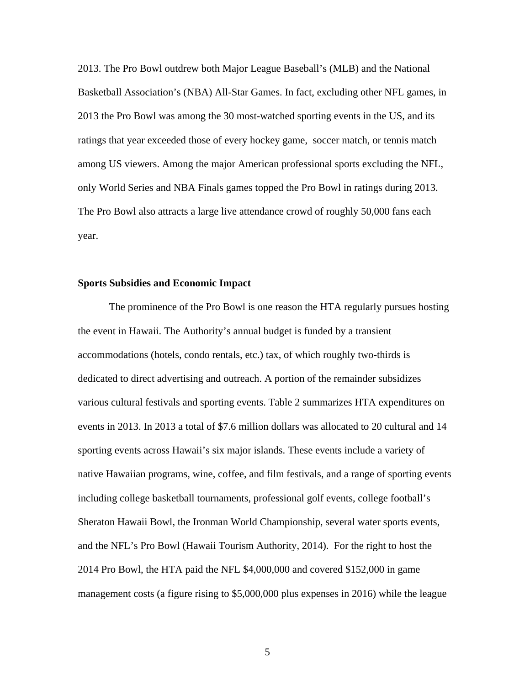2013. The Pro Bowl outdrew both Major League Baseball's (MLB) and the National Basketball Association's (NBA) All-Star Games. In fact, excluding other NFL games, in 2013 the Pro Bowl was among the 30 most-watched sporting events in the US, and its ratings that year exceeded those of every hockey game, soccer match, or tennis match among US viewers. Among the major American professional sports excluding the NFL, only World Series and NBA Finals games topped the Pro Bowl in ratings during 2013. The Pro Bowl also attracts a large live attendance crowd of roughly 50,000 fans each year.

#### **Sports Subsidies and Economic Impact**

The prominence of the Pro Bowl is one reason the HTA regularly pursues hosting the event in Hawaii. The Authority's annual budget is funded by a transient accommodations (hotels, condo rentals, etc.) tax, of which roughly two-thirds is dedicated to direct advertising and outreach. A portion of the remainder subsidizes various cultural festivals and sporting events. Table 2 summarizes HTA expenditures on events in 2013. In 2013 a total of \$7.6 million dollars was allocated to 20 cultural and 14 sporting events across Hawaii's six major islands. These events include a variety of native Hawaiian programs, wine, coffee, and film festivals, and a range of sporting events including college basketball tournaments, professional golf events, college football's Sheraton Hawaii Bowl, the Ironman World Championship, several water sports events, and the NFL's Pro Bowl (Hawaii Tourism Authority, 2014). For the right to host the 2014 Pro Bowl, the HTA paid the NFL \$4,000,000 and covered \$152,000 in game management costs (a figure rising to \$5,000,000 plus expenses in 2016) while the league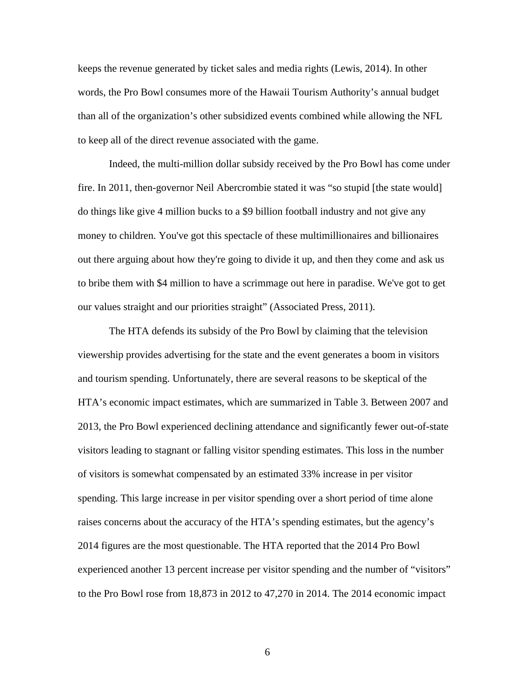keeps the revenue generated by ticket sales and media rights (Lewis, 2014). In other words, the Pro Bowl consumes more of the Hawaii Tourism Authority's annual budget than all of the organization's other subsidized events combined while allowing the NFL to keep all of the direct revenue associated with the game.

Indeed, the multi-million dollar subsidy received by the Pro Bowl has come under fire. In 2011, then-governor Neil Abercrombie stated it was "so stupid [the state would] do things like give 4 million bucks to a \$9 billion football industry and not give any money to children. You've got this spectacle of these multimillionaires and billionaires out there arguing about how they're going to divide it up, and then they come and ask us to bribe them with \$4 million to have a scrimmage out here in paradise. We've got to get our values straight and our priorities straight" (Associated Press, 2011).

The HTA defends its subsidy of the Pro Bowl by claiming that the television viewership provides advertising for the state and the event generates a boom in visitors and tourism spending. Unfortunately, there are several reasons to be skeptical of the HTA's economic impact estimates, which are summarized in Table 3. Between 2007 and 2013, the Pro Bowl experienced declining attendance and significantly fewer out-of-state visitors leading to stagnant or falling visitor spending estimates. This loss in the number of visitors is somewhat compensated by an estimated 33% increase in per visitor spending. This large increase in per visitor spending over a short period of time alone raises concerns about the accuracy of the HTA's spending estimates, but the agency's 2014 figures are the most questionable. The HTA reported that the 2014 Pro Bowl experienced another 13 percent increase per visitor spending and the number of "visitors" to the Pro Bowl rose from 18,873 in 2012 to 47,270 in 2014. The 2014 economic impact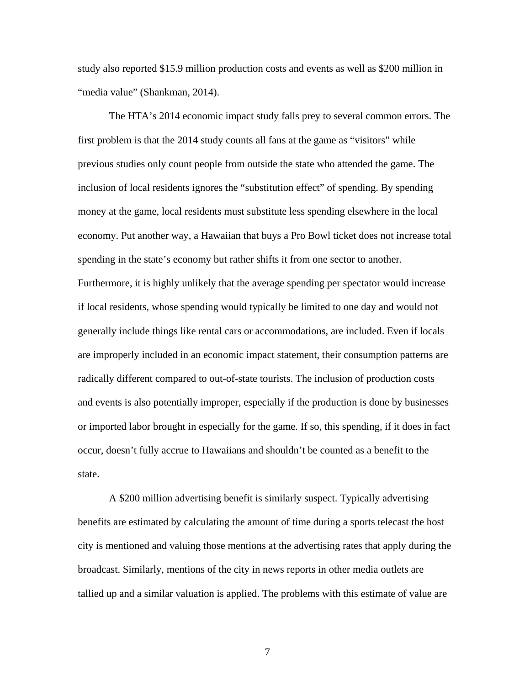study also reported \$15.9 million production costs and events as well as \$200 million in "media value" (Shankman, 2014).

 The HTA's 2014 economic impact study falls prey to several common errors. The first problem is that the 2014 study counts all fans at the game as "visitors" while previous studies only count people from outside the state who attended the game. The inclusion of local residents ignores the "substitution effect" of spending. By spending money at the game, local residents must substitute less spending elsewhere in the local economy. Put another way, a Hawaiian that buys a Pro Bowl ticket does not increase total spending in the state's economy but rather shifts it from one sector to another. Furthermore, it is highly unlikely that the average spending per spectator would increase if local residents, whose spending would typically be limited to one day and would not generally include things like rental cars or accommodations, are included. Even if locals are improperly included in an economic impact statement, their consumption patterns are radically different compared to out-of-state tourists. The inclusion of production costs and events is also potentially improper, especially if the production is done by businesses or imported labor brought in especially for the game. If so, this spending, if it does in fact occur, doesn't fully accrue to Hawaiians and shouldn't be counted as a benefit to the state.

 A \$200 million advertising benefit is similarly suspect. Typically advertising benefits are estimated by calculating the amount of time during a sports telecast the host city is mentioned and valuing those mentions at the advertising rates that apply during the broadcast. Similarly, mentions of the city in news reports in other media outlets are tallied up and a similar valuation is applied. The problems with this estimate of value are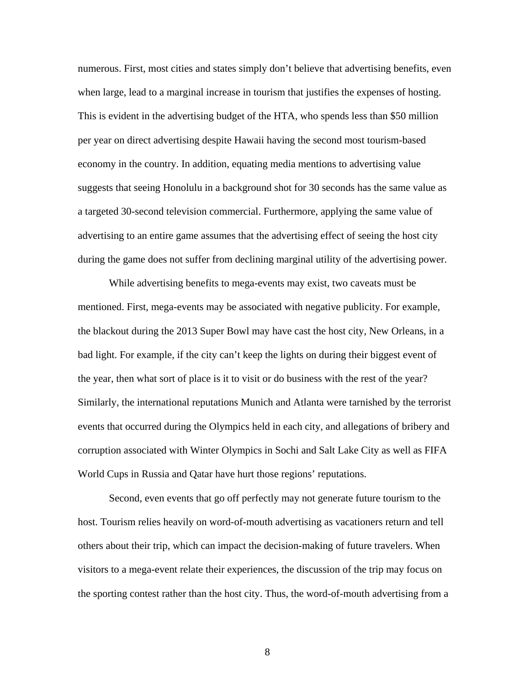numerous. First, most cities and states simply don't believe that advertising benefits, even when large, lead to a marginal increase in tourism that justifies the expenses of hosting. This is evident in the advertising budget of the HTA, who spends less than \$50 million per year on direct advertising despite Hawaii having the second most tourism-based economy in the country. In addition, equating media mentions to advertising value suggests that seeing Honolulu in a background shot for 30 seconds has the same value as a targeted 30-second television commercial. Furthermore, applying the same value of advertising to an entire game assumes that the advertising effect of seeing the host city during the game does not suffer from declining marginal utility of the advertising power.

 While advertising benefits to mega-events may exist, two caveats must be mentioned. First, mega-events may be associated with negative publicity. For example, the blackout during the 2013 Super Bowl may have cast the host city, New Orleans, in a bad light. For example, if the city can't keep the lights on during their biggest event of the year, then what sort of place is it to visit or do business with the rest of the year? Similarly, the international reputations Munich and Atlanta were tarnished by the terrorist events that occurred during the Olympics held in each city, and allegations of bribery and corruption associated with Winter Olympics in Sochi and Salt Lake City as well as FIFA World Cups in Russia and Qatar have hurt those regions' reputations.

 Second, even events that go off perfectly may not generate future tourism to the host. Tourism relies heavily on word-of-mouth advertising as vacationers return and tell others about their trip, which can impact the decision-making of future travelers. When visitors to a mega-event relate their experiences, the discussion of the trip may focus on the sporting contest rather than the host city. Thus, the word-of-mouth advertising from a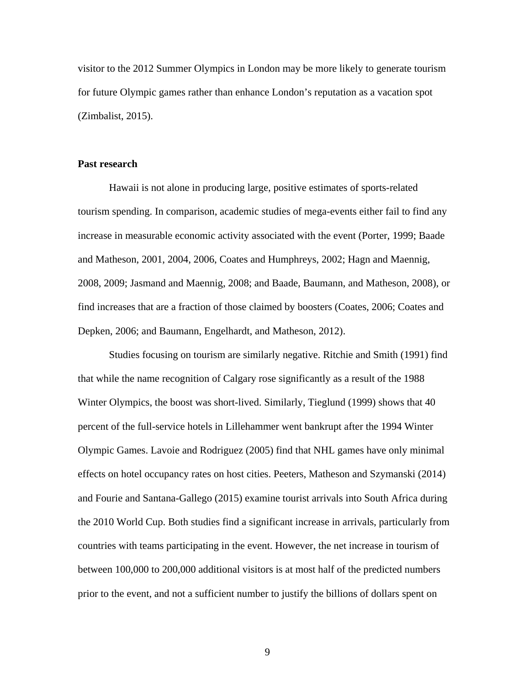visitor to the 2012 Summer Olympics in London may be more likely to generate tourism for future Olympic games rather than enhance London's reputation as a vacation spot (Zimbalist, 2015).

#### **Past research**

Hawaii is not alone in producing large, positive estimates of sports-related tourism spending. In comparison, academic studies of mega-events either fail to find any increase in measurable economic activity associated with the event (Porter, 1999; Baade and Matheson, 2001, 2004, 2006, Coates and Humphreys, 2002; Hagn and Maennig, 2008, 2009; Jasmand and Maennig, 2008; and Baade, Baumann, and Matheson, 2008), or find increases that are a fraction of those claimed by boosters (Coates, 2006; Coates and Depken, 2006; and Baumann, Engelhardt, and Matheson, 2012).

Studies focusing on tourism are similarly negative. Ritchie and Smith (1991) find that while the name recognition of Calgary rose significantly as a result of the 1988 Winter Olympics, the boost was short-lived. Similarly, Tieglund (1999) shows that 40 percent of the full-service hotels in Lillehammer went bankrupt after the 1994 Winter Olympic Games. Lavoie and Rodriguez (2005) find that NHL games have only minimal effects on hotel occupancy rates on host cities. Peeters, Matheson and Szymanski (2014) and Fourie and Santana-Gallego (2015) examine tourist arrivals into South Africa during the 2010 World Cup. Both studies find a significant increase in arrivals, particularly from countries with teams participating in the event. However, the net increase in tourism of between 100,000 to 200,000 additional visitors is at most half of the predicted numbers prior to the event, and not a sufficient number to justify the billions of dollars spent on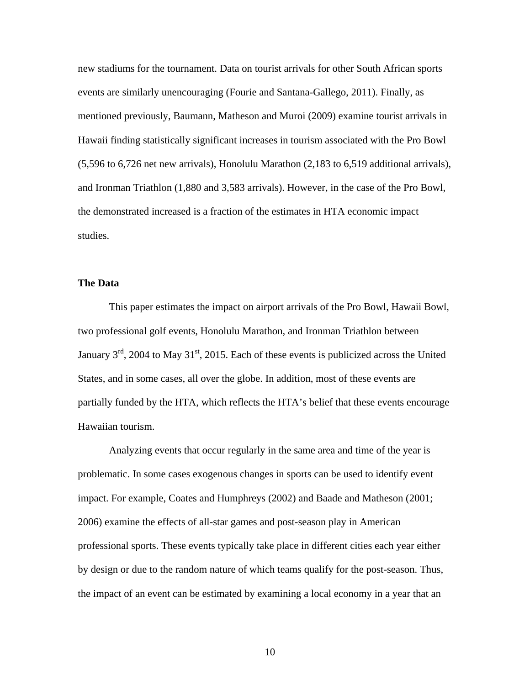new stadiums for the tournament. Data on tourist arrivals for other South African sports events are similarly unencouraging (Fourie and Santana-Gallego, 2011). Finally, as mentioned previously, Baumann, Matheson and Muroi (2009) examine tourist arrivals in Hawaii finding statistically significant increases in tourism associated with the Pro Bowl (5,596 to 6,726 net new arrivals), Honolulu Marathon (2,183 to 6,519 additional arrivals), and Ironman Triathlon (1,880 and 3,583 arrivals). However, in the case of the Pro Bowl, the demonstrated increased is a fraction of the estimates in HTA economic impact studies.

#### **The Data**

This paper estimates the impact on airport arrivals of the Pro Bowl, Hawaii Bowl, two professional golf events, Honolulu Marathon, and Ironman Triathlon between January  $3<sup>rd</sup>$ , 2004 to May 31<sup>st</sup>, 2015. Each of these events is publicized across the United States, and in some cases, all over the globe. In addition, most of these events are partially funded by the HTA, which reflects the HTA's belief that these events encourage Hawaiian tourism.

Analyzing events that occur regularly in the same area and time of the year is problematic. In some cases exogenous changes in sports can be used to identify event impact. For example, Coates and Humphreys (2002) and Baade and Matheson (2001; 2006) examine the effects of all-star games and post-season play in American professional sports. These events typically take place in different cities each year either by design or due to the random nature of which teams qualify for the post-season. Thus, the impact of an event can be estimated by examining a local economy in a year that an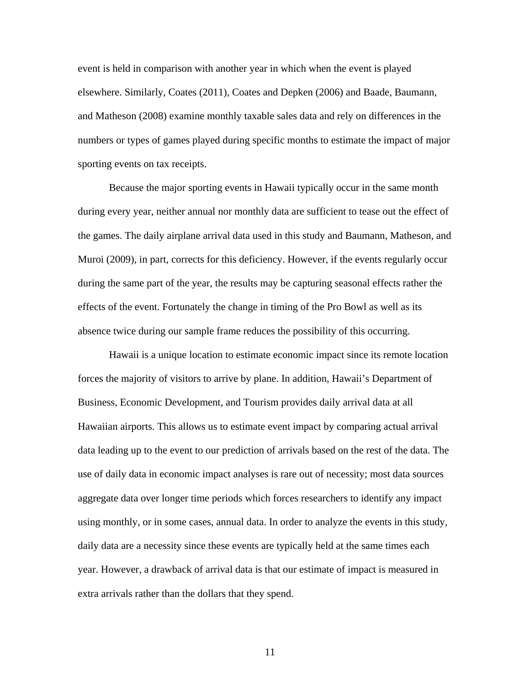event is held in comparison with another year in which when the event is played elsewhere. Similarly, Coates (2011), Coates and Depken (2006) and Baade, Baumann, and Matheson (2008) examine monthly taxable sales data and rely on differences in the numbers or types of games played during specific months to estimate the impact of major sporting events on tax receipts.

Because the major sporting events in Hawaii typically occur in the same month during every year, neither annual nor monthly data are sufficient to tease out the effect of the games. The daily airplane arrival data used in this study and Baumann, Matheson, and Muroi (2009), in part, corrects for this deficiency. However, if the events regularly occur during the same part of the year, the results may be capturing seasonal effects rather the effects of the event. Fortunately the change in timing of the Pro Bowl as well as its absence twice during our sample frame reduces the possibility of this occurring.

Hawaii is a unique location to estimate economic impact since its remote location forces the majority of visitors to arrive by plane. In addition, Hawaii's Department of Business, Economic Development, and Tourism provides daily arrival data at all Hawaiian airports. This allows us to estimate event impact by comparing actual arrival data leading up to the event to our prediction of arrivals based on the rest of the data. The use of daily data in economic impact analyses is rare out of necessity; most data sources aggregate data over longer time periods which forces researchers to identify any impact using monthly, or in some cases, annual data. In order to analyze the events in this study, daily data are a necessity since these events are typically held at the same times each year. However, a drawback of arrival data is that our estimate of impact is measured in extra arrivals rather than the dollars that they spend.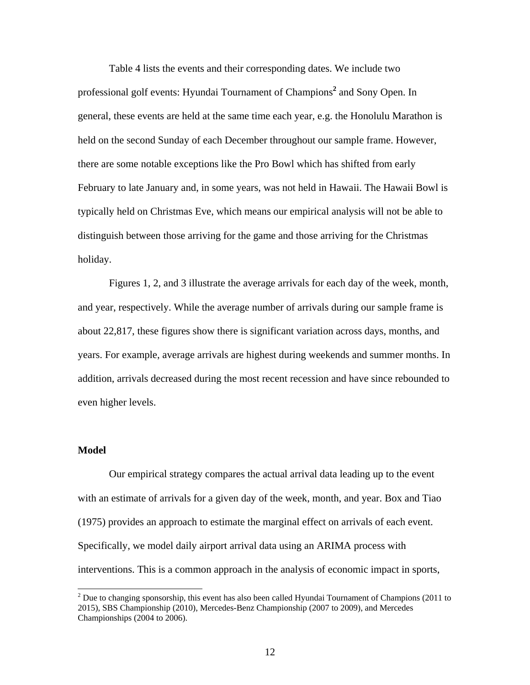Table 4 lists the events and their corresponding dates. We include two professional golf events: Hyundai Tournament of Champions**<sup>2</sup>** and Sony Open. In general, these events are held at the same time each year, e.g. the Honolulu Marathon is held on the second Sunday of each December throughout our sample frame. However, there are some notable exceptions like the Pro Bowl which has shifted from early February to late January and, in some years, was not held in Hawaii. The Hawaii Bowl is typically held on Christmas Eve, which means our empirical analysis will not be able to distinguish between those arriving for the game and those arriving for the Christmas holiday.

Figures 1, 2, and 3 illustrate the average arrivals for each day of the week, month, and year, respectively. While the average number of arrivals during our sample frame is about 22,817, these figures show there is significant variation across days, months, and years. For example, average arrivals are highest during weekends and summer months. In addition, arrivals decreased during the most recent recession and have since rebounded to even higher levels.

#### **Model**

l

Our empirical strategy compares the actual arrival data leading up to the event with an estimate of arrivals for a given day of the week, month, and year. Box and Tiao (1975) provides an approach to estimate the marginal effect on arrivals of each event. Specifically, we model daily airport arrival data using an ARIMA process with interventions. This is a common approach in the analysis of economic impact in sports,

 $2^{2}$  Due to changing sponsorship, this event has also been called Hyundai Tournament of Champions (2011 to 2015), SBS Championship (2010), Mercedes-Benz Championship (2007 to 2009), and Mercedes Championships (2004 to 2006).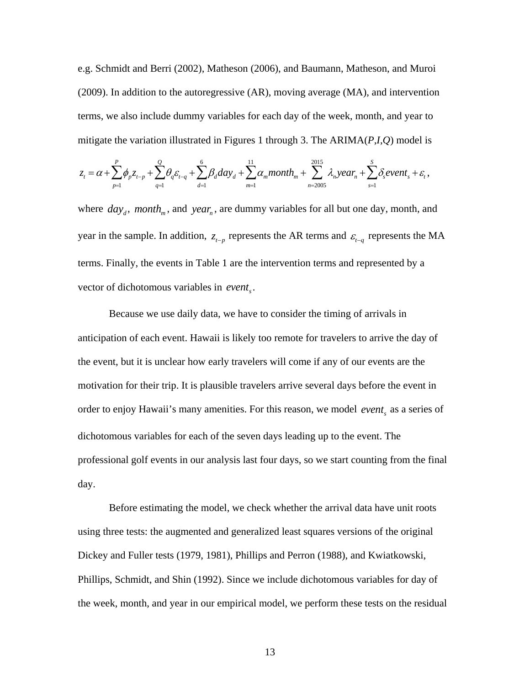e.g. Schmidt and Berri (2002), Matheson (2006), and Baumann, Matheson, and Muroi (2009). In addition to the autoregressive (AR), moving average (MA), and intervention terms, we also include dummy variables for each day of the week, month, and year to mitigate the variation illustrated in Figures 1 through 3. The ARIMA(*P*,*I*,*Q*) model is

$$
z_{t} = \alpha + \sum_{p=1}^{P} \phi_{p} z_{t-p} + \sum_{q=1}^{Q} \theta_{q} \varepsilon_{t-q} + \sum_{d=1}^{6} \beta_{d} d a y_{d} + \sum_{m=1}^{11} \alpha_{m} m \text{ on } t h_{m} + \sum_{n=2005}^{2015} \lambda_{n} \text{ year}_{n} + \sum_{s=1}^{S} \delta_{s} \text{ event}_{s} + \varepsilon_{t},
$$

where  $day_d$ , *month<sub>m</sub>*, and *year<sub>n</sub>*, are dummy variables for all but one day, month, and year in the sample. In addition,  $z_{t-p}$  represents the AR terms and  $\varepsilon_{t-q}$  represents the MA terms. Finally, the events in Table 1 are the intervention terms and represented by a vector of dichotomous variables in *event*<sub>s</sub>.

 Because we use daily data, we have to consider the timing of arrivals in anticipation of each event. Hawaii is likely too remote for travelers to arrive the day of the event, but it is unclear how early travelers will come if any of our events are the motivation for their trip. It is plausible travelers arrive several days before the event in order to enjoy Hawaii's many amenities. For this reason, we model *event*, as a series of dichotomous variables for each of the seven days leading up to the event. The professional golf events in our analysis last four days, so we start counting from the final day.

Before estimating the model, we check whether the arrival data have unit roots using three tests: the augmented and generalized least squares versions of the original Dickey and Fuller tests (1979, 1981), Phillips and Perron (1988), and Kwiatkowski, Phillips, Schmidt, and Shin (1992). Since we include dichotomous variables for day of the week, month, and year in our empirical model, we perform these tests on the residual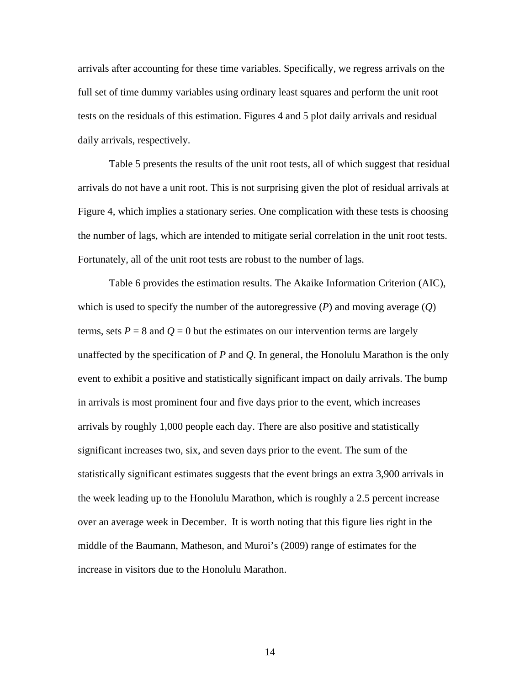arrivals after accounting for these time variables. Specifically, we regress arrivals on the full set of time dummy variables using ordinary least squares and perform the unit root tests on the residuals of this estimation. Figures 4 and 5 plot daily arrivals and residual daily arrivals, respectively.

Table 5 presents the results of the unit root tests, all of which suggest that residual arrivals do not have a unit root. This is not surprising given the plot of residual arrivals at Figure 4, which implies a stationary series. One complication with these tests is choosing the number of lags, which are intended to mitigate serial correlation in the unit root tests. Fortunately, all of the unit root tests are robust to the number of lags.

Table 6 provides the estimation results. The Akaike Information Criterion (AIC), which is used to specify the number of the autoregressive (*P*) and moving average (*Q*) terms, sets  $P = 8$  and  $Q = 0$  but the estimates on our intervention terms are largely unaffected by the specification of *P* and *Q*. In general, the Honolulu Marathon is the only event to exhibit a positive and statistically significant impact on daily arrivals. The bump in arrivals is most prominent four and five days prior to the event, which increases arrivals by roughly 1,000 people each day. There are also positive and statistically significant increases two, six, and seven days prior to the event. The sum of the statistically significant estimates suggests that the event brings an extra 3,900 arrivals in the week leading up to the Honolulu Marathon, which is roughly a 2.5 percent increase over an average week in December. It is worth noting that this figure lies right in the middle of the Baumann, Matheson, and Muroi's (2009) range of estimates for the increase in visitors due to the Honolulu Marathon.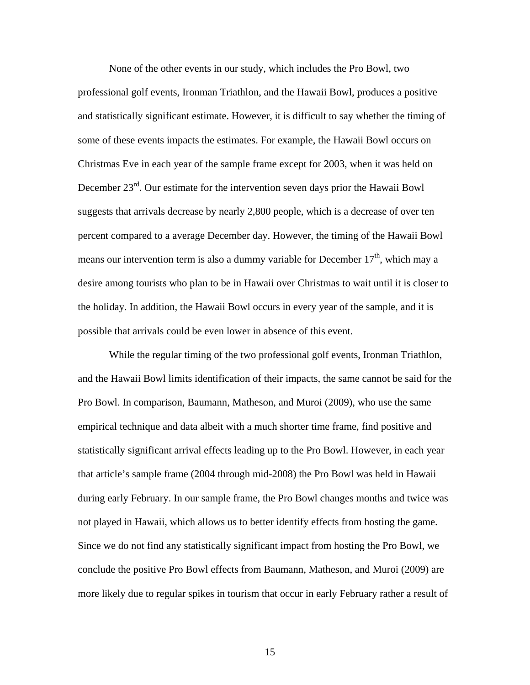None of the other events in our study, which includes the Pro Bowl, two professional golf events, Ironman Triathlon, and the Hawaii Bowl, produces a positive and statistically significant estimate. However, it is difficult to say whether the timing of some of these events impacts the estimates. For example, the Hawaii Bowl occurs on Christmas Eve in each year of the sample frame except for 2003, when it was held on December 23rd. Our estimate for the intervention seven days prior the Hawaii Bowl suggests that arrivals decrease by nearly 2,800 people, which is a decrease of over ten percent compared to a average December day. However, the timing of the Hawaii Bowl means our intervention term is also a dummy variable for December  $17<sup>th</sup>$ , which may a desire among tourists who plan to be in Hawaii over Christmas to wait until it is closer to the holiday. In addition, the Hawaii Bowl occurs in every year of the sample, and it is possible that arrivals could be even lower in absence of this event.

While the regular timing of the two professional golf events, Ironman Triathlon, and the Hawaii Bowl limits identification of their impacts, the same cannot be said for the Pro Bowl. In comparison, Baumann, Matheson, and Muroi (2009), who use the same empirical technique and data albeit with a much shorter time frame, find positive and statistically significant arrival effects leading up to the Pro Bowl. However, in each year that article's sample frame (2004 through mid-2008) the Pro Bowl was held in Hawaii during early February. In our sample frame, the Pro Bowl changes months and twice was not played in Hawaii, which allows us to better identify effects from hosting the game. Since we do not find any statistically significant impact from hosting the Pro Bowl, we conclude the positive Pro Bowl effects from Baumann, Matheson, and Muroi (2009) are more likely due to regular spikes in tourism that occur in early February rather a result of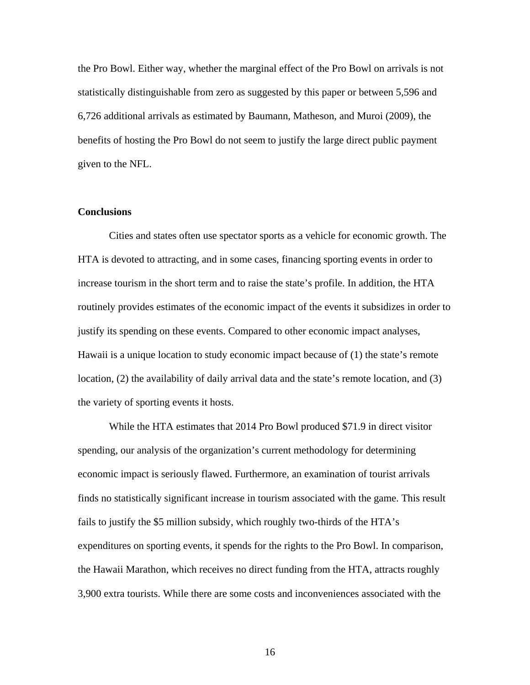the Pro Bowl. Either way, whether the marginal effect of the Pro Bowl on arrivals is not statistically distinguishable from zero as suggested by this paper or between 5,596 and 6,726 additional arrivals as estimated by Baumann, Matheson, and Muroi (2009), the benefits of hosting the Pro Bowl do not seem to justify the large direct public payment given to the NFL.

#### **Conclusions**

Cities and states often use spectator sports as a vehicle for economic growth. The HTA is devoted to attracting, and in some cases, financing sporting events in order to increase tourism in the short term and to raise the state's profile. In addition, the HTA routinely provides estimates of the economic impact of the events it subsidizes in order to justify its spending on these events. Compared to other economic impact analyses, Hawaii is a unique location to study economic impact because of (1) the state's remote location, (2) the availability of daily arrival data and the state's remote location, and (3) the variety of sporting events it hosts.

While the HTA estimates that 2014 Pro Bowl produced \$71.9 in direct visitor spending, our analysis of the organization's current methodology for determining economic impact is seriously flawed. Furthermore, an examination of tourist arrivals finds no statistically significant increase in tourism associated with the game. This result fails to justify the \$5 million subsidy, which roughly two-thirds of the HTA's expenditures on sporting events, it spends for the rights to the Pro Bowl. In comparison, the Hawaii Marathon, which receives no direct funding from the HTA, attracts roughly 3,900 extra tourists. While there are some costs and inconveniences associated with the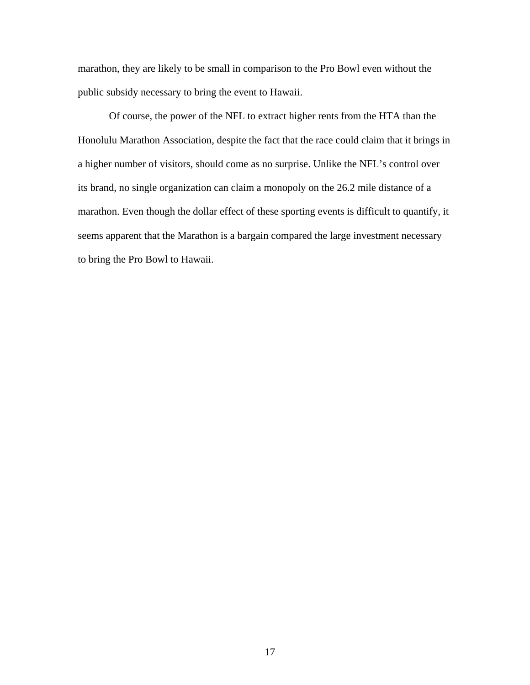marathon, they are likely to be small in comparison to the Pro Bowl even without the public subsidy necessary to bring the event to Hawaii.

 Of course, the power of the NFL to extract higher rents from the HTA than the Honolulu Marathon Association, despite the fact that the race could claim that it brings in a higher number of visitors, should come as no surprise. Unlike the NFL's control over its brand, no single organization can claim a monopoly on the 26.2 mile distance of a marathon. Even though the dollar effect of these sporting events is difficult to quantify, it seems apparent that the Marathon is a bargain compared the large investment necessary to bring the Pro Bowl to Hawaii.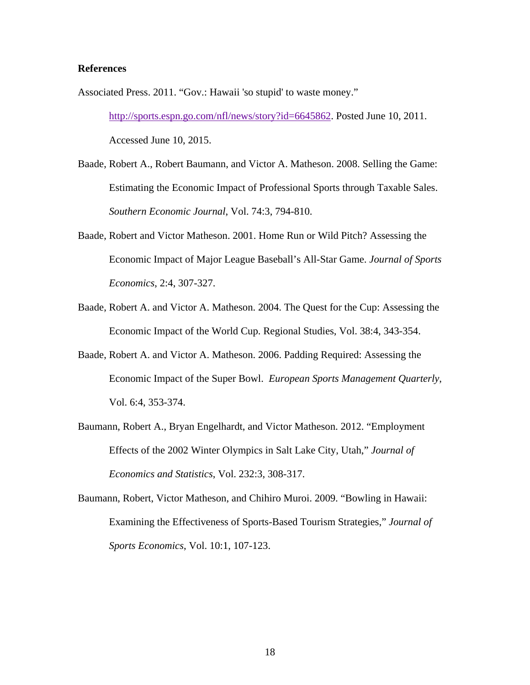#### **References**

Associated Press. 2011. "Gov.: Hawaii 'so stupid' to waste money."

http://sports.espn.go.com/nfl/news/story?id=6645862. Posted June 10, 2011. Accessed June 10, 2015.

- Baade, Robert A., Robert Baumann, and Victor A. Matheson. 2008. Selling the Game: Estimating the Economic Impact of Professional Sports through Taxable Sales. *Southern Economic Journal*, Vol. 74:3, 794-810.
- Baade, Robert and Victor Matheson. 2001. Home Run or Wild Pitch? Assessing the Economic Impact of Major League Baseball's All-Star Game. *Journal of Sports Economics*, 2:4, 307-327.
- Baade, Robert A. and Victor A. Matheson. 2004. The Quest for the Cup: Assessing the Economic Impact of the World Cup. Regional Studies, Vol. 38:4, 343-354.
- Baade, Robert A. and Victor A. Matheson. 2006. Padding Required: Assessing the Economic Impact of the Super Bowl. *European Sports Management Quarterly*, Vol. 6:4, 353-374.
- Baumann, Robert A., Bryan Engelhardt, and Victor Matheson. 2012. "Employment Effects of the 2002 Winter Olympics in Salt Lake City, Utah," *Journal of Economics and Statistics*, Vol. 232:3, 308-317.

Baumann, Robert, Victor Matheson, and Chihiro Muroi. 2009. "Bowling in Hawaii: Examining the Effectiveness of Sports-Based Tourism Strategies," *Journal of Sports Economics*, Vol. 10:1, 107-123.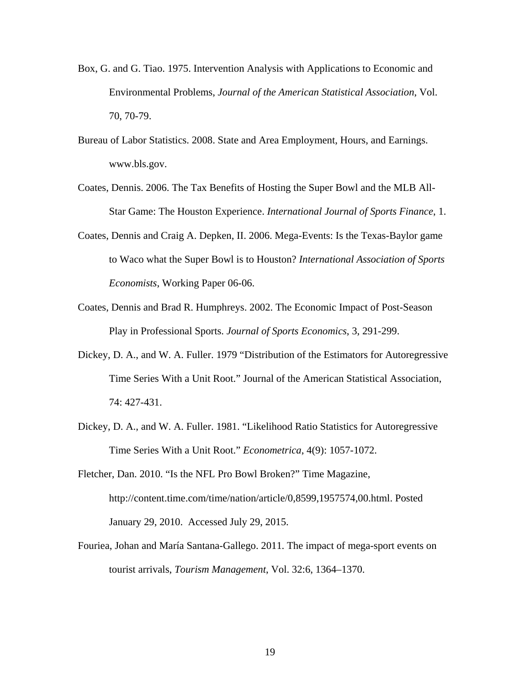- Box, G. and G. Tiao. 1975. Intervention Analysis with Applications to Economic and Environmental Problems, *Journal of the American Statistical Association*, Vol. 70, 70-79.
- Bureau of Labor Statistics. 2008. State and Area Employment, Hours, and Earnings. www.bls.gov.
- Coates, Dennis. 2006. The Tax Benefits of Hosting the Super Bowl and the MLB All-Star Game: The Houston Experience. *International Journal of Sports Finance*, 1.
- Coates, Dennis and Craig A. Depken, II. 2006. Mega-Events: Is the Texas-Baylor game to Waco what the Super Bowl is to Houston? *International Association of Sports Economists*, Working Paper 06-06.
- Coates, Dennis and Brad R. Humphreys. 2002. The Economic Impact of Post-Season Play in Professional Sports. *Journal of Sports Economics*, 3, 291-299.
- Dickey, D. A., and W. A. Fuller. 1979 "Distribution of the Estimators for Autoregressive Time Series With a Unit Root." Journal of the American Statistical Association, 74: 427-431.
- Dickey, D. A., and W. A. Fuller. 1981. "Likelihood Ratio Statistics for Autoregressive Time Series With a Unit Root." *Econometrica*, 4(9): 1057-1072.
- Fletcher, Dan. 2010. "Is the NFL Pro Bowl Broken?" Time Magazine, http://content.time.com/time/nation/article/0,8599,1957574,00.html. Posted January 29, 2010. Accessed July 29, 2015.
- Fouriea, Johan and María Santana-Gallego. 2011. The impact of mega-sport events on tourist arrivals, *Tourism Management*, Vol. 32:6, 1364–1370.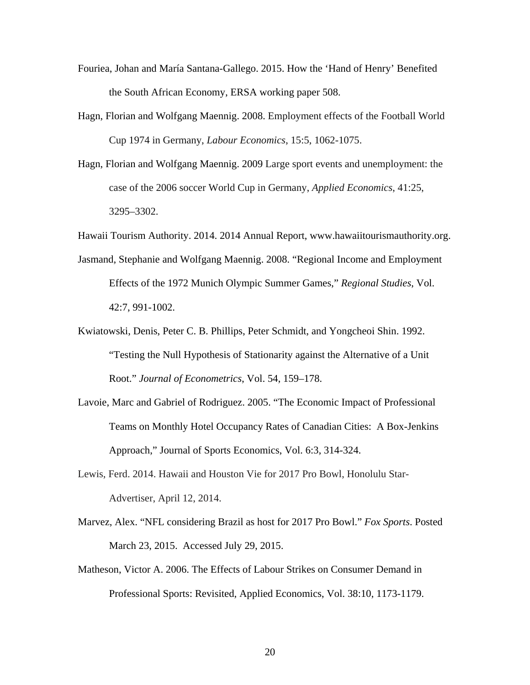- Fouriea, Johan and María Santana-Gallego. 2015. How the 'Hand of Henry' Benefited the South African Economy, ERSA working paper 508.
- Hagn, Florian and Wolfgang Maennig. 2008. Employment effects of the Football World Cup 1974 in Germany, *Labour Economics*, 15:5, 1062-1075.
- Hagn, Florian and Wolfgang Maennig. 2009 Large sport events and unemployment: the case of the 2006 soccer World Cup in Germany, *Applied Economics*, 41:25, 3295–3302.

Hawaii Tourism Authority. 2014. 2014 Annual Report, www.hawaiitourismauthority.org.

- Jasmand, Stephanie and Wolfgang Maennig. 2008. "Regional Income and Employment Effects of the 1972 Munich Olympic Summer Games," *Regional Studies*, Vol. 42:7, 991-1002.
- Kwiatowski, Denis, Peter C. B. Phillips, Peter Schmidt, and Yongcheoi Shin. 1992. "Testing the Null Hypothesis of Stationarity against the Alternative of a Unit Root." *Journal of Econometrics*, Vol. 54, 159–178.
- Lavoie, Marc and Gabriel of Rodriguez. 2005. "The Economic Impact of Professional Teams on Monthly Hotel Occupancy Rates of Canadian Cities: A Box-Jenkins Approach," Journal of Sports Economics, Vol. 6:3, 314-324.
- Lewis, Ferd. 2014. Hawaii and Houston Vie for 2017 Pro Bowl, Honolulu Star-Advertiser, April 12, 2014.
- Marvez, Alex. "NFL considering Brazil as host for 2017 Pro Bowl." *Fox Sports*. Posted March 23, 2015. Accessed July 29, 2015.
- Matheson, Victor A. 2006. The Effects of Labour Strikes on Consumer Demand in Professional Sports: Revisited, Applied Economics, Vol. 38:10, 1173-1179.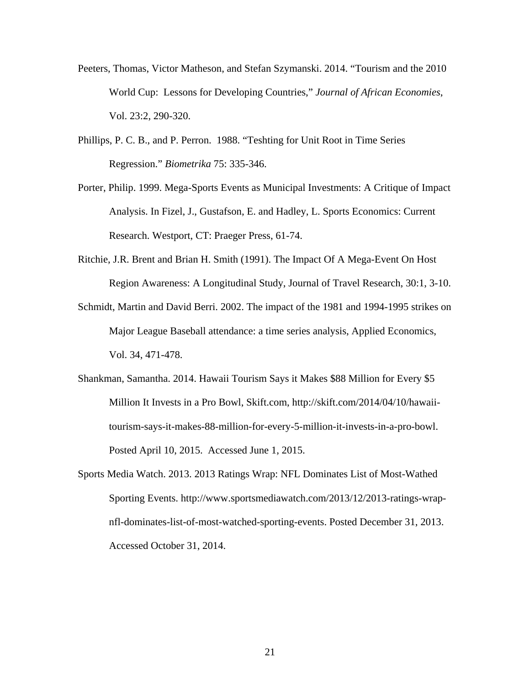- Peeters, Thomas, Victor Matheson, and Stefan Szymanski. 2014. "Tourism and the 2010 World Cup: Lessons for Developing Countries," *Journal of African Economies*, Vol. 23:2, 290-320.
- Phillips, P. C. B., and P. Perron. 1988. "Teshting for Unit Root in Time Series Regression." *Biometrika* 75: 335-346.
- Porter, Philip. 1999. Mega-Sports Events as Municipal Investments: A Critique of Impact Analysis. In Fizel, J., Gustafson, E. and Hadley, L. Sports Economics: Current Research. Westport, CT: Praeger Press, 61-74.
- Ritchie, J.R. Brent and Brian H. Smith (1991). The Impact Of A Mega-Event On Host Region Awareness: A Longitudinal Study, Journal of Travel Research, 30:1, 3-10.
- Schmidt, Martin and David Berri. 2002. The impact of the 1981 and 1994-1995 strikes on Major League Baseball attendance: a time series analysis, Applied Economics, Vol. 34, 471-478.
- Shankman, Samantha. 2014. Hawaii Tourism Says it Makes \$88 Million for Every \$5 Million It Invests in a Pro Bowl, Skift.com, http://skift.com/2014/04/10/hawaiitourism-says-it-makes-88-million-for-every-5-million-it-invests-in-a-pro-bowl. Posted April 10, 2015. Accessed June 1, 2015.
- Sports Media Watch. 2013. 2013 Ratings Wrap: NFL Dominates List of Most-Wathed Sporting Events. http://www.sportsmediawatch.com/2013/12/2013-ratings-wrapnfl-dominates-list-of-most-watched-sporting-events. Posted December 31, 2013. Accessed October 31, 2014.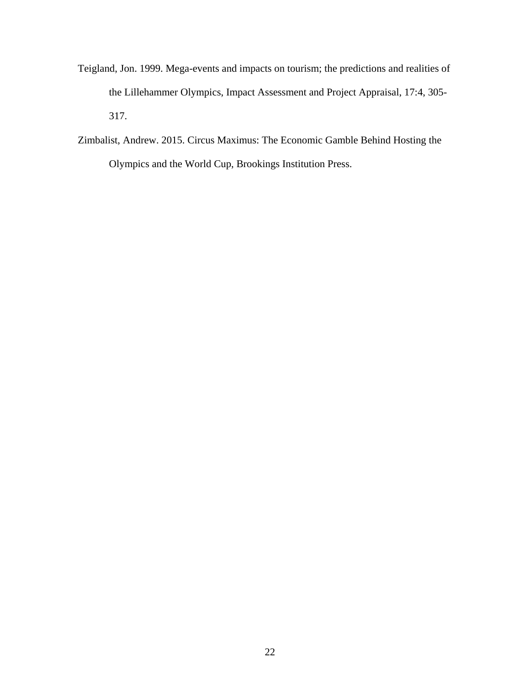- Teigland, Jon. 1999. Mega-events and impacts on tourism; the predictions and realities of the Lillehammer Olympics, Impact Assessment and Project Appraisal, 17:4, 305- 317.
- Zimbalist, Andrew. 2015. Circus Maximus: The Economic Gamble Behind Hosting the Olympics and the World Cup, Brookings Institution Press.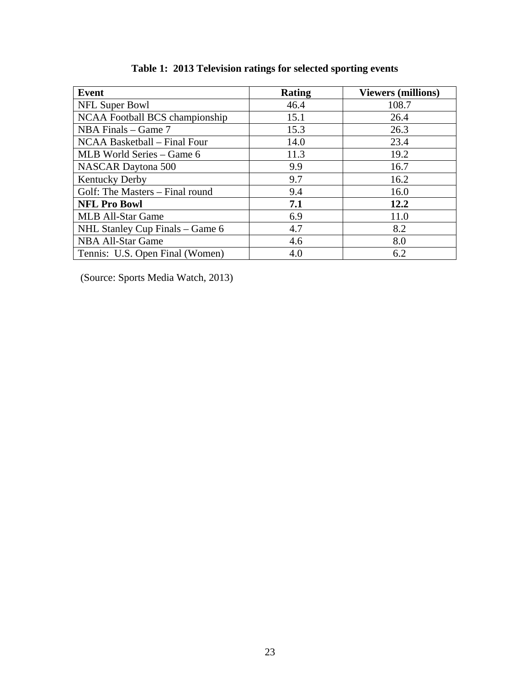| <b>Event</b>                    | <b>Rating</b> | <b>Viewers (millions)</b> |
|---------------------------------|---------------|---------------------------|
| NFL Super Bowl                  | 46.4          | 108.7                     |
| NCAA Football BCS championship  | 15.1          | 26.4                      |
| NBA Finals – Game 7             | 15.3          | 26.3                      |
| NCAA Basketball – Final Four    | 14.0          | 23.4                      |
| MLB World Series – Game 6       | 11.3          | 19.2                      |
| <b>NASCAR Daytona 500</b>       | 9.9           | 16.7                      |
| <b>Kentucky Derby</b>           | 9.7           | 16.2                      |
| Golf: The Masters – Final round | 9.4           | 16.0                      |
| <b>NFL Pro Bowl</b>             | 7.1           | 12.2                      |
| MLB All-Star Game               | 6.9           | 11.0                      |
| NHL Stanley Cup Finals - Game 6 | 4.7           | 8.2                       |
| <b>NBA All-Star Game</b>        | 4.6           | 8.0                       |
| Tennis: U.S. Open Final (Women) | 4.0           | 6.2                       |

(Source: Sports Media Watch, 2013)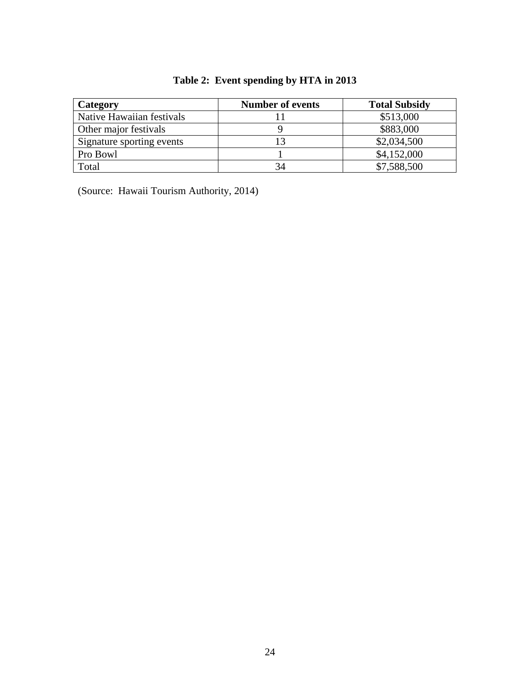| Category                  | <b>Number of events</b> | <b>Total Subsidy</b> |
|---------------------------|-------------------------|----------------------|
| Native Hawaiian festivals |                         | \$513,000            |
| Other major festivals     |                         | \$883,000            |
| Signature sporting events | 13                      | \$2,034,500          |
| Pro Bowl                  |                         | \$4,152,000          |
| Total                     | 34                      | \$7,588,500          |

# **Table 2: Event spending by HTA in 2013**

(Source: Hawaii Tourism Authority, 2014)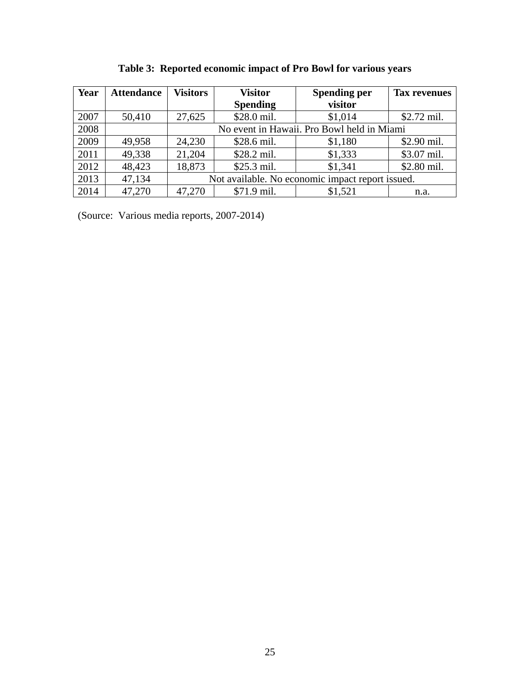| Year | <b>Attendance</b> | <b>Visitors</b>                                  | <b>Visitor</b>  | <b>Spending per</b> | <b>Tax revenues</b> |
|------|-------------------|--------------------------------------------------|-----------------|---------------------|---------------------|
|      |                   |                                                  | <b>Spending</b> | visitor             |                     |
| 2007 | 50,410            | 27,625                                           | \$28.0 mil.     | \$1,014             | $$2.72$ mil.        |
| 2008 |                   | No event in Hawaii. Pro Bowl held in Miami       |                 |                     |                     |
| 2009 | 49,958            | 24,230                                           | \$28.6 mil.     | \$1,180             | \$2.90 mil.         |
| 2011 | 49,338            | 21,204                                           | \$28.2 mil.     | \$1,333             | \$3.07 mil.         |
| 2012 | 48,423            | 18,873                                           | \$25.3 mil.     | \$1,341             | \$2.80 mil.         |
| 2013 | 47,134            | Not available. No economic impact report issued. |                 |                     |                     |
| 2014 | 47,270            | 47,270                                           | \$71.9 mil.     | \$1,521             | n.a.                |

**Table 3: Reported economic impact of Pro Bowl for various years** 

(Source: Various media reports, 2007-2014)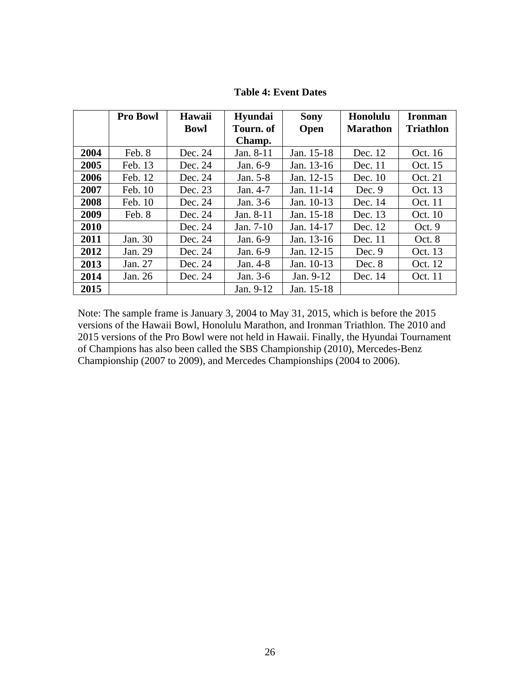|      | <b>Pro Bowl</b> | Hawaii      | Hyundai   | <b>Sony</b> | Honolulu        | <b>Ironman</b>   |
|------|-----------------|-------------|-----------|-------------|-----------------|------------------|
|      |                 | <b>Bowl</b> | Tourn, of | <b>Open</b> | <b>Marathon</b> | <b>Triathlon</b> |
|      |                 |             | Champ.    |             |                 |                  |
| 2004 | Feb. 8          | Dec. 24     | Jan. 8-11 | Jan. 15-18  | Dec. 12         | Oct. 16          |
| 2005 | Feb. 13         | Dec. 24     | Jan. 6-9  | Jan. 13-16  | Dec. $11$       | Oct. 15          |
| 2006 | Feb. 12         | Dec. 24     | Jan. 5-8  | Jan. 12-15  | Dec. 10         | Oct. 21          |
| 2007 | Feb. 10         | Dec. 23     | Jan. 4-7  | Jan. 11-14  | Dec. $9$        | Oct. 13          |
| 2008 | Feb. 10         | Dec. 24     | Jan. 3-6  | Jan. 10-13  | Dec. 14         | Oct. 11          |
| 2009 | Feb. 8          | Dec. 24     | Jan. 8-11 | Jan. 15-18  | Dec. 13         | Oct. 10          |
| 2010 |                 | Dec. 24     | Jan. 7-10 | Jan. 14-17  | Dec. 12         | Oct.9            |
| 2011 | Jan. 30         | Dec. 24     | Jan. 6-9  | Jan. 13-16  | Dec. 11         | Oct. 8           |
| 2012 | Jan. 29         | Dec. 24     | Jan. 6-9  | Jan. 12-15  | Dec. 9          | Oct. 13          |
| 2013 | Jan. 27         | Dec. 24     | Jan. 4-8  | Jan. 10-13  | Dec. 8          | Oct. 12          |

**Table 4: Event Dates** 

Note: The sample frame is January 3, 2004 to May 31, 2015, which is before the 2015 versions of the Hawaii Bowl, Honolulu Marathon, and Ironman Triathlon. The 2010 and 2015 versions of the Pro Bowl were not held in Hawaii. Finally, the Hyundai Tournament of Champions has also been called the SBS Championship (2010), Mercedes-Benz Championship (2007 to 2009), and Mercedes Championships (2004 to 2006).

**2014** Jan. 26 Dec. 24 Jan. 3-6 Jan. 9-12 Dec. 14 Oct. 11

**2015 Jan. 9-12 Jan. 15-18**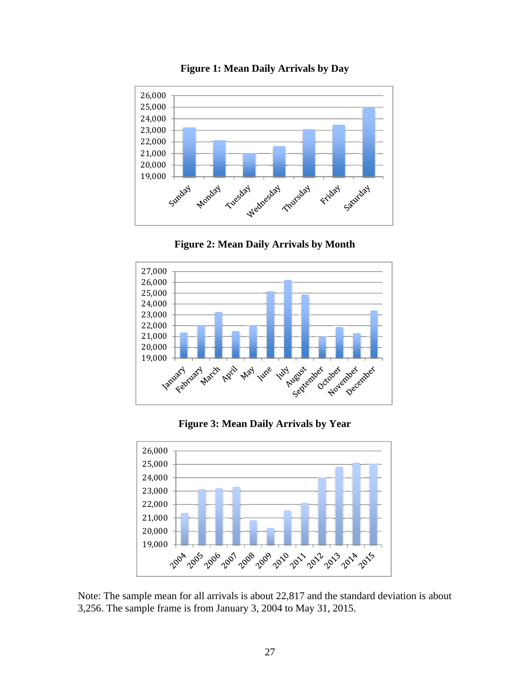

**Figure 1: Mean Daily Arrivals by Day** 





**Figure 3: Mean Daily Arrivals by Year** 



Note: The sample mean for all arrivals is about 22,817 and the standard deviation is about 3,256. The sample frame is from January 3, 2004 to May 31, 2015.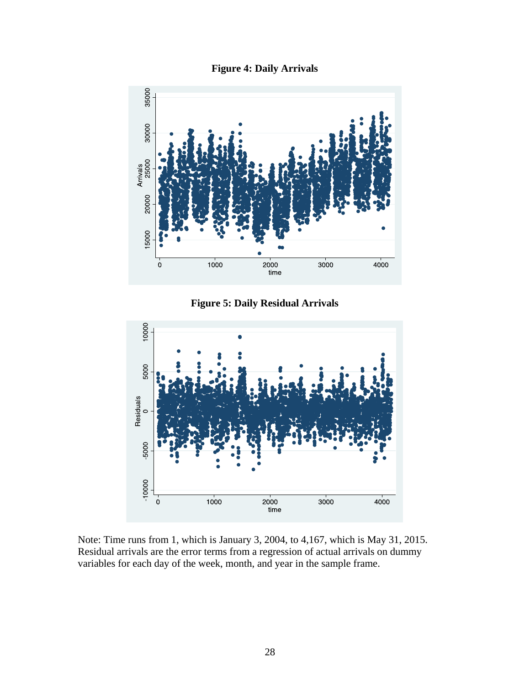



**Figure 5: Daily Residual Arrivals** 



Note: Time runs from 1, which is January 3, 2004, to 4,167, which is May 31, 2015. Residual arrivals are the error terms from a regression of actual arrivals on dummy variables for each day of the week, month, and year in the sample frame.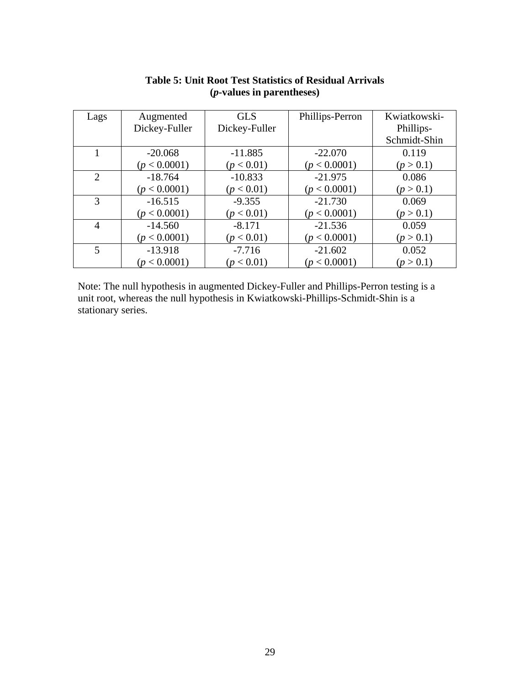| Lags           | Augmented     | <b>GLS</b>    | Phillips-Perron | Kwiatkowski- |
|----------------|---------------|---------------|-----------------|--------------|
|                | Dickey-Fuller | Dickey-Fuller |                 | Phillips-    |
|                |               |               |                 | Schmidt-Shin |
|                | $-20.068$     | $-11.885$     | $-22.070$       | 0.119        |
|                | (p < 0.0001)  | (p < 0.01)    | (p < 0.0001)    | (p > 0.1)    |
| 2              | $-18.764$     | $-10.833$     | $-21.975$       | 0.086        |
|                | (p < 0.0001)  | (p < 0.01)    | (p < 0.0001)    | (p > 0.1)    |
| 3              | $-16.515$     | $-9.355$      | $-21.730$       | 0.069        |
|                | (p < 0.0001)  | (p < 0.01)    | (p < 0.0001)    | (p > 0.1)    |
| $\overline{4}$ | $-14.560$     | $-8.171$      | $-21.536$       | 0.059        |
|                | (p < 0.0001)  | (p < 0.01)    | (p < 0.0001)    | (p > 0.1)    |
| 5              | $-13.918$     | $-7.716$      | $-21.602$       | 0.052        |
|                | (p < 0.0001)  | (p < 0.01)    | (p < 0.0001)    | (p > 0.1)    |

# **Table 5: Unit Root Test Statistics of Residual Arrivals (***p***-values in parentheses)**

Note: The null hypothesis in augmented Dickey-Fuller and Phillips-Perron testing is a unit root, whereas the null hypothesis in Kwiatkowski-Phillips-Schmidt-Shin is a stationary series.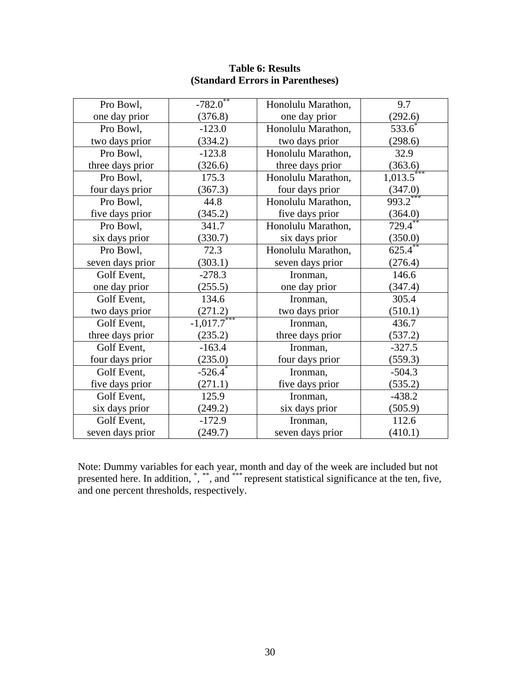| Pro Bowl,        | $-782.0$       | Honolulu Marathon, | 9.7                    |
|------------------|----------------|--------------------|------------------------|
| one day prior    | (376.8)        | one day prior      | (292.6)                |
| Pro Bowl,        | $-123.0$       | Honolulu Marathon, | 533.6                  |
| two days prior   | (334.2)        | two days prior     | (298.6)                |
| Pro Bowl,        | $-123.8$       | Honolulu Marathon, | 32.9                   |
| three days prior | (326.6)        | three days prior   | (363.6)                |
| Pro Bowl,        | 175.3          | Honolulu Marathon, | $1,013.5$ <sup>*</sup> |
| four days prior  | (367.3)        | four days prior    | (347.0)                |
| Pro Bowl,        | 44.8           | Honolulu Marathon, | $993.2***$             |
| five days prior  | (345.2)        | five days prior    | (364.0)                |
| Pro Bowl,        | 341.7          | Honolulu Marathon, | $729.4***$             |
| six days prior   | (330.7)        | six days prior     | (350.0)                |
| Pro Bowl,        | 72.3           | Honolulu Marathon, | $625.4***$             |
| seven days prior | (303.1)        | seven days prior   | (276.4)                |
| Golf Event,      | $-278.3$       | Ironman,           | 146.6                  |
| one day prior    | (255.5)        | one day prior      | (347.4)                |
| Golf Event,      | 134.6          | Ironman,           | 305.4                  |
| two days prior   | (271.2)        | two days prior     | (510.1)                |
| Golf Event,      | $-1,017.7$ *** | Ironman,           | 436.7                  |
| three days prior | (235.2)        | three days prior   | (537.2)                |
| Golf Event,      | $-163.4$       | Ironman,           | $-327.5$               |
| four days prior  | (235.0)        | four days prior    | (559.3)                |
| Golf Event,      | $-526.4$       | Ironman,           | $-504.3$               |
| five days prior  | (271.1)        | five days prior    | (535.2)                |
| Golf Event,      | 125.9          | Ironman,           | $-438.2$               |
| six days prior   | (249.2)        | six days prior     | (505.9)                |
| Golf Event,      | $-172.9$       | Ironman,           | 112.6                  |
| seven days prior | (249.7)        | seven days prior   | (410.1)                |

### **Table 6: Results (Standard Errors in Parentheses)**

Note: Dummy variables for each year, month and day of the week are included but not presented here. In addition, ", "", and "\*\* represent statistical significance at the ten, five, and one percent thresholds, respectively.